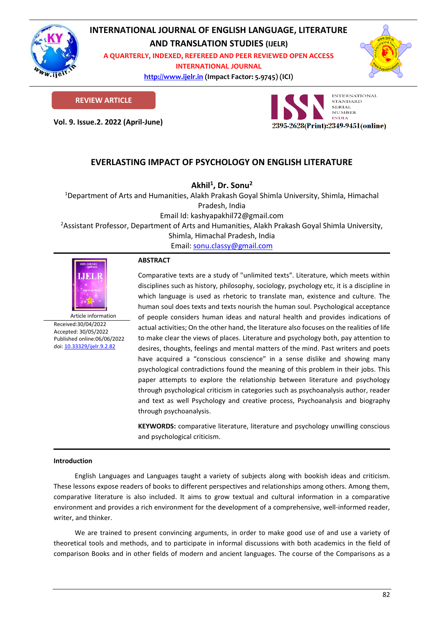

# **INTERNATIONAL JOURNAL OF ENGLISH LANGUAGE, LITERATURE**

**AND TRANSLATION STUDIES (IJELR)**

**A QUARTERLY, INDEXED, REFEREED AND PEER REVIEWED OPEN ACCESS INTERNATIONAL JOURNAL**

> **[http://www.ijelr.in](http://www.ijelr.in/) (Impact Factor: 5.9745) (ICI) KY PUBLICATIONS**



**REVIEW ARTICLE**

**Vol. 9. Issue.2. 2022 (April-June) ARTICLE**



# **EVERLASTING IMPACT OF PSYCHOLOGY ON ENGLISH LITERATURE**

**Akhil<sup>1</sup> , Dr. Sonu<sup>2</sup>**

<sup>1</sup>Department of Arts and Humanities, Alakh Prakash Goyal Shimla University, Shimla, Himachal Pradesh, India

Email Id: kashyapakhil72@gmail.com

<sup>2</sup>Assistant Professor, Department of Arts and Humanities, Alakh Prakash Goyal Shimla University,

Shimla, Himachal Pradesh, India

Email[: sonu.classy@gmail.com](mailto:sonu.classy@gmail.com)



Article information Received:30/04/2022 Accepted: 30/05/2022 Published online:06/06/2022 [doi: 10.33329/ijelr.9.2.8](http://www.ijelr.in/)2

# **ABSTRACT**

Comparative texts are a study of "unlimited texts". Literature, which meets within disciplines such as history, philosophy, sociology, psychology etc, it is a discipline in which language is used as rhetoric to translate man, existence and culture. The human soul does texts and texts nourish the human soul. Psychological acceptance of people considers human ideas and natural health and provides indications of actual activities; On the other hand, the literature also focuses on the realities of life to make clear the views of places. Literature and psychology both, pay attention to desires, thoughts, feelings and mental matters of the mind. Past writers and poets have acquired a "conscious conscience" in a sense dislike and showing many psychological contradictions found the meaning of this problem in their jobs. This paper attempts to explore the relationship between literature and psychology through psychological criticism in categories such as psychoanalysis author, reader and text as well Psychology and creative process, Psychoanalysis and biography through psychoanalysis.

**KEYWORDS:** comparative literature, literature and psychology unwilling conscious and psychological criticism.

# **Introduction**

English Languages and Languages taught a variety of subjects along with bookish ideas and criticism. These lessons expose readers of books to different perspectives and relationships among others. Among them, comparative literature is also included. It aims to grow textual and cultural information in a comparative environment and provides a rich environment for the development of a comprehensive, well-informed reader, writer, and thinker.

We are trained to present convincing arguments, in order to make good use of and use a variety of theoretical tools and methods, and to participate in informal discussions with both academics in the field of comparison Books and in other fields of modern and ancient languages. The course of the Comparisons as a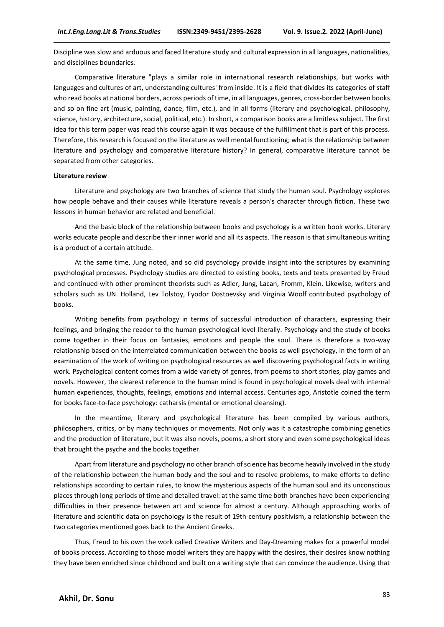Discipline was slow and arduous and faced literature study and cultural expression in all languages, nationalities, and disciplines boundaries.

Comparative literature "plays a similar role in international research relationships, but works with languages and cultures of art, understanding cultures' from inside. It is a field that divides its categories of staff who read books at national borders, across periods of time, in all languages, genres, cross-border between books and so on fine art (music, painting, dance, film, etc.), and in all forms (literary and psychological, philosophy, science, history, architecture, social, political, etc.). In short, a comparison books are a limitless subject. The first idea for this term paper was read this course again it was because of the fulfillment that is part of this process. Therefore, this research is focused on the literature as well mental functioning; what is the relationship between literature and psychology and comparative literature history? In general, comparative literature cannot be separated from other categories.

#### **Literature review**

Literature and psychology are two branches of science that study the human soul. Psychology explores how people behave and their causes while literature reveals a person's character through fiction. These two lessons in human behavior are related and beneficial.

And the basic block of the relationship between books and psychology is a written book works. Literary works educate people and describe their inner world and all its aspects. The reason is that simultaneous writing is a product of a certain attitude.

At the same time, Jung noted, and so did psychology provide insight into the scriptures by examining psychological processes. Psychology studies are directed to existing books, texts and texts presented by Freud and continued with other prominent theorists such as Adler, Jung, Lacan, Fromm, Klein. Likewise, writers and scholars such as UN. Holland, Lev Tolstoy, Fyodor Dostoevsky and Virginia Woolf contributed psychology of books.

Writing benefits from psychology in terms of successful introduction of characters, expressing their feelings, and bringing the reader to the human psychological level literally. Psychology and the study of books come together in their focus on fantasies, emotions and people the soul. There is therefore a two-way relationship based on the interrelated communication between the books as well psychology, in the form of an examination of the work of writing on psychological resources as well discovering psychological facts in writing work. Psychological content comes from a wide variety of genres, from poems to short stories, play games and novels. However, the clearest reference to the human mind is found in psychological novels deal with internal human experiences, thoughts, feelings, emotions and internal access. Centuries ago, Aristotle coined the term for books face-to-face psychology: catharsis (mental or emotional cleansing).

In the meantime, literary and psychological literature has been compiled by various authors, philosophers, critics, or by many techniques or movements. Not only was it a catastrophe combining genetics and the production of literature, but it was also novels, poems, a short story and even some psychological ideas that brought the psyche and the books together.

Apart from literature and psychology no other branch of science has become heavily involved in the study of the relationship between the human body and the soul and to resolve problems, to make efforts to define relationships according to certain rules, to know the mysterious aspects of the human soul and its unconscious places through long periods of time and detailed travel: at the same time both branches have been experiencing difficulties in their presence between art and science for almost a century. Although approaching works of literature and scientific data on psychology is the result of 19th-century positivism, a relationship between the two categories mentioned goes back to the Ancient Greeks.

Thus, Freud to his own the work called Creative Writers and Day-Dreaming makes for a powerful model of books process. According to those model writers they are happy with the desires, their desires know nothing they have been enriched since childhood and built on a writing style that can convince the audience. Using that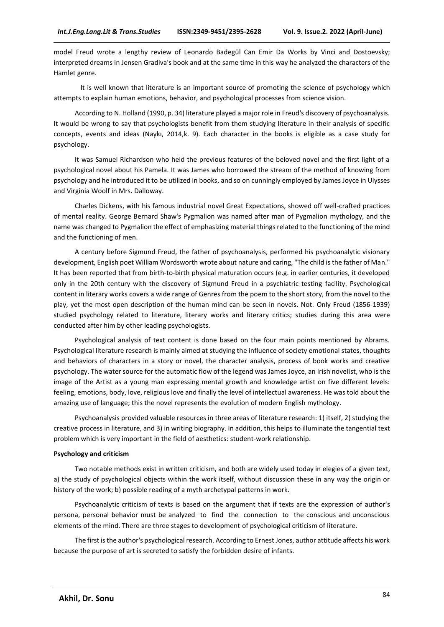model Freud wrote a lengthy review of Leonardo Badegül Can Emir Da Works by Vinci and Dostoevsky; interpreted dreams in Jensen Gradiva's book and at the same time in this way he analyzed the characters of the Hamlet genre.

It is well known that literature is an important source of promoting the science of psychology which attempts to explain human emotions, behavior, and psychological processes from science vision.

According to N. Holland (1990, p. 34) literature played a major role in Freud's discovery of psychoanalysis. It would be wrong to say that psychologists benefit from them studying literature in their analysis of specific concepts, events and ideas (Naykı, 2014,k. 9). Each character in the books is eligible as a case study for psychology.

It was Samuel Richardson who held the previous features of the beloved novel and the first light of a psychological novel about his Pamela. It was James who borrowed the stream of the method of knowing from psychology and he introduced it to be utilized in books, and so on cunningly employed by James Joyce in Ulysses and Virginia Woolf in Mrs. Dalloway.

Charles Dickens, with his famous industrial novel Great Expectations, showed off well-crafted practices of mental reality. George Bernard Shaw's Pygmalion was named after man of Pygmalion mythology, and the name was changed to Pygmalion the effect of emphasizing material things related to the functioning of the mind and the functioning of men.

A century before Sigmund Freud, the father of psychoanalysis, performed his psychoanalytic visionary development, English poet William Wordsworth wrote about nature and caring, "The child is the father of Man." It has been reported that from birth-to-birth physical maturation occurs (e.g. in earlier centuries, it developed only in the 20th century with the discovery of Sigmund Freud in a psychiatric testing facility. Psychological content in literary works covers a wide range of Genres from the poem to the short story, from the novel to the play, yet the most open description of the human mind can be seen in novels. Not. Only Freud (1856-1939) studied psychology related to literature, literary works and literary critics; studies during this area were conducted after him by other leading psychologists.

Psychological analysis of text content is done based on the four main points mentioned by Abrams. Psychological literature research is mainly aimed at studying the influence of society emotional states, thoughts and behaviors of characters in a story or novel, the character analysis, process of book works and creative psychology. The water source for the automatic flow of the legend was James Joyce, an Irish novelist, who is the image of the Artist as a young man expressing mental growth and knowledge artist on five different levels: feeling, emotions, body, love, religious love and finally the level of intellectual awareness. He was told about the amazing use of language; this the novel represents the evolution of modern English mythology.

Psychoanalysis provided valuable resources in three areas of literature research: 1) itself, 2) studying the creative process in literature, and 3) in writing biography. In addition, this helps to illuminate the tangential text problem which is very important in the field of aesthetics: student-work relationship.

# **Psychology and criticism**

Two notable methods exist in written criticism, and both are widely used today in elegies of a given text, a) the study of psychological objects within the work itself, without discussion these in any way the origin or history of the work; b) possible reading of a myth archetypal patterns in work.

Psychoanalytic criticism of texts is based on the argument that if texts are the expression of author's persona, personal behavior must be analyzed to find the connection to the conscious and unconscious elements of the mind. There are three stages to development of psychological criticism of literature.

The first is the author's psychological research. According to Ernest Jones, author attitude affects his work because the purpose of art is secreted to satisfy the forbidden desire of infants.